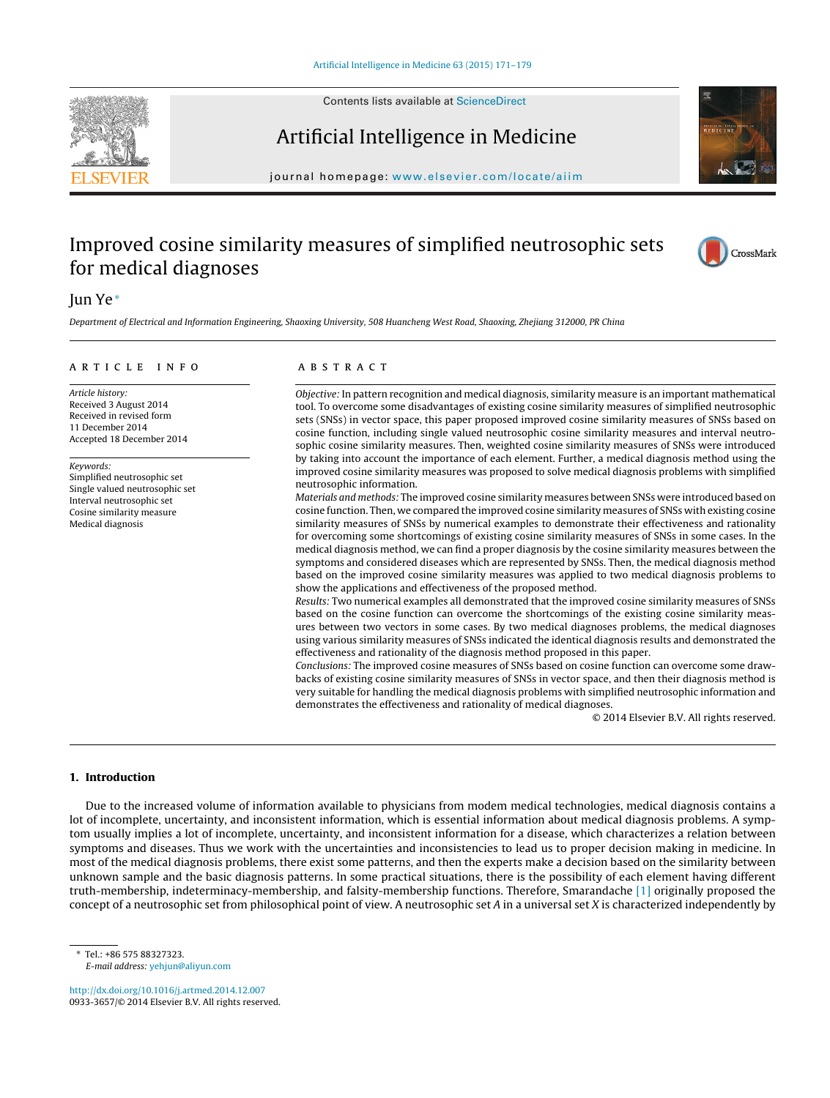

Contents lists available at [ScienceDirect](http://www.sciencedirect.com/science/journal/09333657)

# Artificial Intelligence in Medicine



journal homepage: [www.elsevier.com/locate/aiim](http://www.elsevier.com/locate/aiim)

# Improved cosine similarity measures of simplified neutrosophic sets for medical diagnoses



## Jun Ye<sup>∗</sup>

Department of Electrical and Information Engineering, Shaoxing University, 508 Huancheng West Road, Shaoxing, Zhejiang 312000, PR China

#### ARTICLE INFO

Article history: Received 3 August 2014 Received in revised form 11 December 2014 Accepted 18 December 2014

Keywords: Simplified neutrosophic set Single valued neutrosophic set Interval neutrosophic set Cosine similarity measure Medical diagnosis

### A B S T R A C T

Objective: In pattern recognition and medical diagnosis, similarity measure is an important mathematical tool. To overcome some disadvantages of existing cosine similarity measures of simplified neutrosophic sets (SNSs) in vector space, this paper proposed improved cosine similarity measures of SNSs based on cosine function, including single valued neutrosophic cosine similarity measures and interval neutrosophic cosine similarity measures. Then, weighted cosine similarity measures of SNSs were introduced by taking into account the importance of each element. Further, a medical diagnosis method using the improved cosine similarity measures was proposed to solve medical diagnosis problems with simplified neutrosophic information.

Materials and methods: The improved cosine similarity measures between SNSs were introduced based on cosine function. Then, we compared the improved cosine similarity measures of SNSs with existing cosine similarity measures of SNSs by numerical examples to demonstrate their effectiveness and rationality for overcoming some shortcomings of existing cosine similarity measures of SNSs in some cases. In the medical diagnosis method, we can find a proper diagnosis by the cosine similarity measures between the symptoms and considered diseases which are represented by SNSs. Then, the medical diagnosis method based on the improved cosine similarity measures was applied to two medical diagnosis problems to show the applications and effectiveness of the proposed method.

Results: Two numerical examples all demonstrated that the improved cosine similarity measures of SNSs based on the cosine function can overcome the shortcomings of the existing cosine similarity measures between two vectors in some cases. By two medical diagnoses problems, the medical diagnoses using various similarity measures of SNSs indicated the identical diagnosis results and demonstrated the effectiveness and rationality of the diagnosis method proposed in this paper.

Conclusions: The improved cosine measures of SNSs based on cosine function can overcome some drawbacks of existing cosine similarity measures of SNSs in vector space, and then their diagnosis method is very suitable for handling the medical diagnosis problems with simplified neutrosophic information and demonstrates the effectiveness and rationality of medical diagnoses.

© 2014 Elsevier B.V. All rights reserved.

#### **1. Introduction**

Due to the increased volume of information available to physicians from modem medical technologies, medical diagnosis contains a lot of incomplete, uncertainty, and inconsistent information, which is essential information about medical diagnosis problems. A symptom usually implies a lot of incomplete, uncertainty, and inconsistent information for a disease, which characterizes a relation between symptoms and diseases. Thus we work with the uncertainties and inconsistencies to lead us to proper decision making in medicine. In most of the medical diagnosis problems, there exist some patterns, and then the experts make a decision based on the similarity between unknown sample and the basic diagnosis patterns. In some practical situations, there is the possibility of each element having different truth-membership, indeterminacy-membership, and falsity-membership functions. Therefore, Smarandache [\[1\]](#page-8-0) originally proposed the concept of a neutrosophic set from philosophical point of view. A neutrosophic set A in a universal set X is characterized independently by

∗ Tel.: +86 575 88327323. E-mail address: [yehjun@aliyun.com](mailto:yehjun@aliyun.com)

[http://dx.doi.org/10.1016/j.artmed.2014.12.007](dx.doi.org/10.1016/j.artmed.2014.12.007) 0933-3657/© 2014 Elsevier B.V. All rights reserved.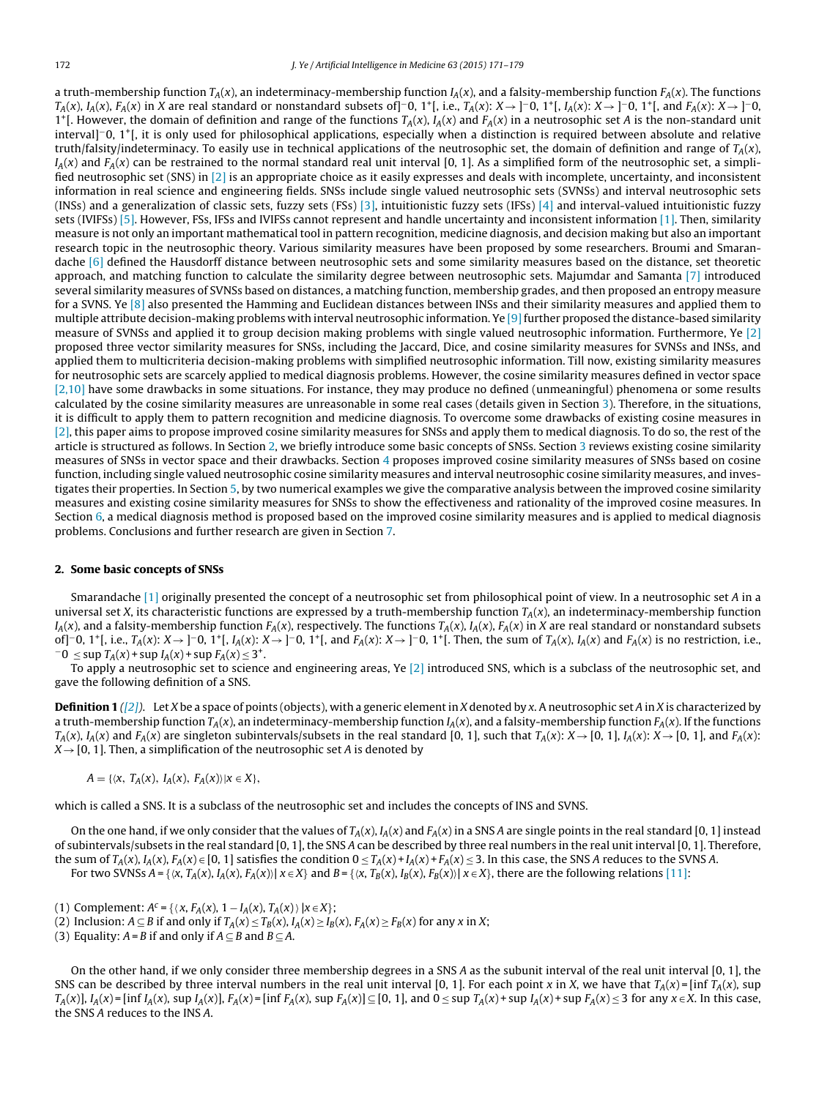a truth-membership function  $T_A(x)$ , an indeterminacy-membership function  $I_A(x)$ , and a falsity-membership function  $F_A(x)$ . The functions  $T_A(x)$ ,  $I_A(x)$ ,  $F_A(x)$  in X are real standard or nonstandard subsets of]−0, 1+[, i.e.,  $T_A(x): X \rightarrow ]0, 1^+$ [,  $I_A(x): X \rightarrow ]0, 1^+$ [, and  $F_A(x): X \rightarrow ]0, 1^+$ ] 1<sup>+</sup>[. However, the domain of definition and range of the functions  $T_A(x)$ ,  $I_A(x)$  and  $F_A(x)$  in a neutrosophic set A is the non-standard unit interval]−0, 1+[, it is only used for philosophical applications, especially when a distinction is required between absolute and relative truth/falsity/indeterminacy. To easily use in technical applications of the neutrosophic set, the domain of definition and range of  $T_A(x)$ ,  $I_A(x)$  and  $F_A(x)$  can be restrained to the normal standard real unit interval [0, 1]. As a simplified form of the neutrosophic set, a simpli-fied neutrosophic set (SNS) in [\[2\]](#page-8-0) is an appropriate choice as it easily expresses and deals with incomplete, uncertainty, and inconsistent information in real science and engineering fields. SNSs include single valued neutrosophic sets (SVNSs) and interval neutrosophic sets (INSs) and a generalization of classic sets, fuzzy sets (FSs) [\[3\],](#page-8-0) intuitionistic fuzzy sets (IFSs) [\[4\]](#page-8-0) and interval-valued intuitionistic fuzzy sets (IVIFSs) [\[5\].](#page-8-0) However, FSs, IFSs and IVIFSs cannot represent and handle uncertainty and inconsistent information [\[1\].](#page-8-0) Then, similarity measure is not only an important mathematical tool in pattern recognition, medicine diagnosis, and decision making but also an important research topic in the neutrosophic theory. Various similarity measures have been proposed by some researchers. Broumi and Smarandache [\[6\]](#page-8-0) defined the Hausdorff distance between neutrosophic sets and some similarity measures based on the distance, set theoretic approach, and matching function to calculate the similarity degree between neutrosophic sets. Majumdar and Samanta [\[7\]](#page-8-0) introduced several similarity measures of SVNSs based on distances, a matching function, membership grades, and then proposed an entropy measure for a SVNS. Ye [\[8\]](#page-8-0) also presented the Hamming and Euclidean distances between INSs and their similarity measures and applied them to multiple attribute decision-making problems with interval neutrosophic information. Ye  $[9]$  further proposed the distance-based similarity measure of SVNSs and applied it to group decision making problems with single valued neutrosophic information. Furthermore, Ye [\[2\]](#page-8-0) proposed three vector similarity measures for SNSs, including the Jaccard, Dice, and cosine similarity measures for SVNSs and INSs, and applied them to multicriteria decision-making problems with simplified neutrosophic information. Till now, existing similarity measures for neutrosophic sets are scarcely applied to medical diagnosis problems. However, the cosine similarity measures defined in vector space [\[2,10\]](#page-8-0) have some drawbacks in some situations. For instance, they may produce no defined (unmeaningful) phenomena or some results calculated by the cosine similarity measures are unreasonable in some real cases (details given in Section [3\).](#page-2-0) Therefore, in the situations, it is difficult to apply them to pattern recognition and medicine diagnosis. To overcome some drawbacks of existing cosine measures in [\[2\],](#page-8-0) this paper aims to propose improved cosine similarity measures for SNSs and apply them to medical diagnosis. To do so, the rest of the article is structured as follows. In Section 2, we briefly introduce some basic concepts of SNSs. Section [3](#page-2-0) reviews existing cosine similarity measures of SNSs in vector space and their drawbacks. Section [4](#page-3-0) proposes improved cosine similarity measures of SNSs based on cosine function, including single valued neutrosophic cosine similarity measures and interval neutrosophic cosine similarity measures, and investigates their properties. In Section [5,](#page-5-0) by two numerical examples we give the comparative analysis between the improved cosine similarity measures and existing cosine similarity measures for SNSs to show the effectiveness and rationality of the improved cosine measures. In Section [6,](#page-6-0) a medical diagnosis method is proposed based on the improved cosine similarity measures and is applied to medical diagnosis problems. Conclusions and further research are given in Section [7.](#page-7-0)

#### **2. Some basic concepts of SNSs**

Smarandache [\[1\]](#page-8-0) originally presented the concept of a neutrosophic set from philosophical point of view. In a neutrosophic set A in a universal set X, its characteristic functions are expressed by a truth-membership function  $T_A(x)$ , an indeterminacy-membership function  $I_A(x)$ , and a falsity-membership function  $F_A(x)$ , respectively. The functions  $T_A(x)$ ,  $I_A(x)$ ,  $F_A(x)$  in X are real standard or nonstandard subsets of]−0, 1<sup>+</sup>[, i.e.,  $T_A(x)$ :  $X \to$ ]−0, 1<sup>+</sup>[,  $I_A(x)$ :  $X \to$ ]−0, 1<sup>+</sup>[, and  $F_A(x)$ :  $X \to$ ]−0, 1<sup>+</sup>[. Then, the sum of  $T_A(x)$ ,  $I_A(x)$  and  $F_A(x)$  is no restriction, i.e., −0 ≤ sup  $T_A(x)$  + sup  $I_A(x)$  + sup  $F_A(x) \le 3^+$ .

To apply a neutrosophic set to science and engineering areas, Ye [\[2\]](#page-8-0) introduced SNS, which is a subclass of the neutrosophic set, and gave the following definition of a SNS.

**Definition 1** [\(\[2\]\)](#page-8-0). Let X be a space of points (objects), with a generic element in X denoted by x. A neutrosophic set A in X is characterized by a truth-membership function  $T_A(x)$ , an indeterminacy-membership function  $I_A(x)$ , and a falsity-membership function  $F_A(x)$ . If the functions  $T_A(x)$ ,  $I_A(x)$  and  $F_A(x)$  are singleton subintervals/subsets in the real standard [0, 1], such that  $T_A(x)$ :  $X \rightarrow [0, 1]$ ,  $I_A(x)$ :  $X \rightarrow [0, 1]$ , and  $F_A(x)$ :  $X \rightarrow [0, 1]$ . Then, a simplification of the neutrosophic set A is denoted by

 $A = \{ \langle x, T_A(x), I_A(x), F_A(x) \rangle | x \in X \},\$ 

which is called a SNS. It is a subclass of the neutrosophic set and includes the concepts of INS and SVNS.

On the one hand, if we only consider that the values of  $T_A(x)$ ,  $I_A(x)$  and  $F_A(x)$  in a SNS A are single points in the real standard [0, 1] instead of subintervals/subsets in the real standard [0, 1], the SNS A can be described by three real numbers in the real unit interval [0, 1]. Therefore, the sum of  $T_A(x)$ ,  $I_A(x)$ ,  $F_A(x) \in [0, 1]$  satisfies the condition  $0 \le T_A(x) + I_A(x) + F_A(x) \le 3$ . In this case, the SNS A reduces to the SVNS A. For two SVNSs  $A = \{ \langle x, T_A(x), I_A(x), F_A(x) \rangle | x \in X \}$  and  $B = \{ \langle x, T_B(x), I_B(x), F_B(x) \rangle | x \in X \}$ , there are the following relations [\[11\]:](#page-8-0)

- (1) Complement:  $A^c = \{ \langle x, F_A(x), 1 I_A(x), T_A(x) \rangle | x \in X \};$
- (2) Inclusion:  $A \subseteq B$  if and only if  $T_A(x) \le T_B(x)$ ,  $I_A(x) \ge I_B(x)$ ,  $F_A(x) \ge F_B(x)$  for any x in X;
- (3) Equality:  $A = B$  if and only if  $A \subseteq B$  and  $B \subseteq A$ .

On the other hand, if we only consider three membership degrees in a SNS A as the subunit interval of the real unit interval [0, 1], the SNS can be described by three interval numbers in the real unit interval [0, 1]. For each point x in X, we have that  $T_A(x) = \left[ \inf T_A(x), \sup T_A(x) \right]$  $T_A(x)$ ],  $I_A(x)$  = [inf  $I_A(x)$ , sup  $I_A(x)$ ],  $F_A(x)$  = [inf  $F_A(x)$ , sup  $F_A(x)$ ]  $\subseteq$  [0, 1], and  $0 \le \sup T_A(x)$  + sup  $I_A(x)$  + sup  $F_A(x) \le 3$  for any  $x \in X$ . In this case, the SNS A reduces to the INS A.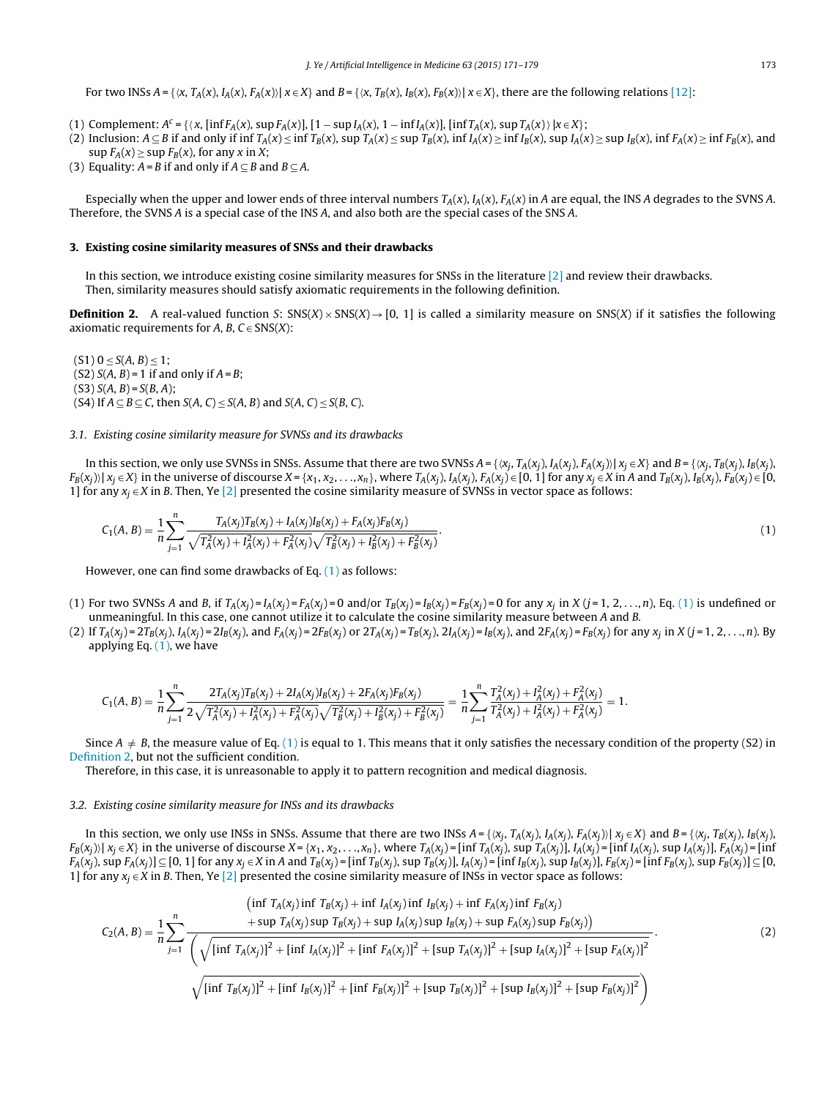<span id="page-2-0"></span>For two INSs  $A = \{ \langle x, T_A(x), I_A(x), F_A(x) \rangle | x \in X \}$  and  $B = \{ \langle x, T_B(x), I_B(x), F_B(x) \rangle | x \in X \}$ , there are the following relations [\[12\]:](#page-8-0)

- (1) Complement:  $A^c = \{ \langle x, [\inf F_A(x), \sup F_A(x)], [1 \sup I_A(x), 1 \inf I_A(x)], [\inf T_A(x), \sup T_A(x)] \rangle \mid x \in X \}$ ;
- (2) Inclusion:  $A \subseteq B$  if and only if inf  $T_A(x) \le \inf T_B(x)$ ,  $\sup T_A(x) \le \sup T_B(x)$ ,  $\inf T_A(x) \ge \inf T_B(x)$ ,  $\sup T_A(x) \ge \sup T_B(x)$ ,  $\inf F_A(x) \ge \inf F_B(x)$ , and  $\sup F_A(x) \geq \sup F_B(x)$ , for any x in X;
- (3) Equality:  $A = B$  if and only if  $A \subseteq B$  and  $B \subseteq A$ .

Especially when the upper and lower ends of three interval numbers  $T_A(x)$ ,  $I_A(x)$ ,  $F_A(x)$  in A are equal, the INS A degrades to the SVNS A. Therefore, the SVNS A is a special case of the INS A, and also both are the special cases of the SNS A.

#### **3. Existing cosine similarity measures of SNSs and their drawbacks**

In this section, we introduce existing cosine similarity measures for SNSs in the literature  $[2]$  and review their drawbacks. Then, similarity measures should satisfy axiomatic requirements in the following definition.

**Definition 2.** A real-valued function S:  $SNS(X) \times SNS(X) \rightarrow [0, 1]$  is called a similarity measure on SNS(X) if it satisfies the following axiomatic requirements for A, B,  $C \in SNS(X)$ :

 $(S1) 0 < S(A, B) < 1$ ;  $(S2) S(A, B) = 1$  if and only if  $A = B$ ;  $(S3) S(A, B) = S(B, A);$ (S4) If  $A \subseteq B \subseteq C$ , then  $S(A, C) \leq S(A, B)$  and  $S(A, C) \leq S(B, C)$ .

#### 3.1. Existing cosine similarity measure for SVNSs and its drawbacks

In this section, we only use SVNSs in SNSs. Assume that there are two SVNSs  $A = \{x_i, T_A(x_i), I_A(x_i), F_A(x_i)\}$   $x_i \in X\}$  and  $B = \{x_i, T_B(x_i), I_B(x_i)\}$  $F_B(x_i)$   $|x_i \in X$  in the universe of discourse  $X = \{x_1, x_2, \ldots, x_n\}$ , where  $T_A(x_i)$ ,  $I_A(x_i)$ ,  $F_A(x_i) \in [0, 1]$  for any  $x_i \in X$  in A and  $T_B(x_i)$ ,  $I_B(x_i)$ ,  $F_B(x_i) \in [0, 1]$ 1] for any  $x_i \in X$  in B. Then, Ye [\[2\]](#page-8-0) presented the cosine similarity measure of SVNSs in vector space as follows:

$$
C_1(A, B) = \frac{1}{n} \sum_{j=1}^n \frac{T_A(x_j)T_B(x_j) + I_A(x_j)I_B(x_j) + F_A(x_j)F_B(x_j)}{\sqrt{T_A^2(x_j) + I_A^2(x_j) + F_A^2(x_j)} \sqrt{T_B^2(x_j) + I_B^2(x_j) + F_B^2(x_j)}}.
$$
\n(1)

However, one can find some drawbacks of Eq. (1) as follows:

- (1) For two SVNSs A and B, if  $T_A(x_j) = I_A(x_j) = F_A(x_j) = 0$  and/or  $T_B(x_j) = I_B(x_j) = F_B(x_j) = 0$  for any  $x_j$  in  $X (j = 1, 2, \ldots, n)$ , Eq. (1) is undefined or unmeaningful. In this case, one cannot utilize it to calculate the cosine similarity measure between A and B.
- (2) If  $T_A(x_i) = 2T_B(x_i)$ ,  $I_A(x_i) = 2I_B(x_i)$ , and  $F_A(x_i) = 2F_B(x_i)$  or  $2T_A(x_i) = T_B(x_i)$ ,  $2I_A(x_i) = I_B(x_i)$ , and  $2F_A(x_i) = F_B(x_i)$  for any  $x_i$  in  $X (j = 1, 2, ..., n)$ . By applying Eq.  $(1)$ , we have

$$
C_1(A, B) = \frac{1}{n} \sum_{j=1}^n \frac{2T_A(x_j)T_B(x_j) + 2I_A(x_j)I_B(x_j) + 2F_A(x_j)F_B(x_j)}{2\sqrt{T_A^2(x_j) + I_A^2(x_j) + F_A^2(x_j)}\sqrt{T_B^2(x_j) + I_B^2(x_j) + F_B^2(x_j)}} = \frac{1}{n} \sum_{j=1}^n \frac{T_A^2(x_j) + I_A^2(x_j) + F_A^2(x_j)}{T_A^2(x_j) + I_A^2(x_j) + F_A^2(x_j)} = 1.
$$

Since  $A \neq B$ , the measure value of Eq. (1) is equal to 1. This means that it only satisfies the necessary condition of the property (S2) in Definition 2, but not the sufficient condition.

Therefore, in this case, it is unreasonable to apply it to pattern recognition and medical diagnosis.

#### 3.2. Existing cosine similarity measure for INSs and its drawbacks

In this section, we only use INSs in SNSs. Assume that there are two INSs  $A = \{ \langle x_i, T_A(x_i), I_A(x_i), F_A(x_i) \rangle \mid x_i \in X \}$  and  $B = \{ \langle x_i, T_B(x_i), I_B(x_i), F_A(x_i) \rangle \mid x_i \in X \}$  $F_B(x_j)$   $x_j \in X$  in the universe of discourse  $X = \{x_1, x_2, \ldots, x_n\}$ , where  $T_A(x_j) = \left[\inf T_A(x_j), \sup T_A(x_j)\right]$ ,  $I_A(x_j) = \left[\inf I_A(x_j), \sup I_A(x_j)\right]$ ,  $F_A(x_j) = \left[\inf T_A(x_j), \sup T_A(x_j)\right]$  $F_A(x_i)$ , sup  $F_A(x_i)$ ]  $\subseteq$  [0, 1] for any  $x_i \in X$  in A and  $T_B(x_i)$  = [inf  $T_B(x_i)$ , sup  $T_B(x_i)$ ],  $I_A(x_i)$  = [inf  $I_B(x_i)$ , sup  $I_B(x_i)$ ],  $F_B(x_i)$  = [inf  $F_B(x_i)$ , sup  $F_B(x_i)$ ]  $\subseteq$  [0, 1] for any  $x_j \in X$  in B. Then, Ye [\[2\]](#page-8-0) presented the cosine similarity measure of INSs in vector space as follows:

$$
C_{2}(A, B) = \frac{1}{n} \sum_{j=1}^{n} \frac{\operatorname{sup} T_{A}(x_{j}) \operatorname{inf} T_{B}(x_{j}) + \operatorname{inf} I_{A}(x_{j}) \operatorname{inf} F_{B}(x_{j}) + \operatorname{sup} F_{A}(x_{j}) \operatorname{sup} F_{B}(x_{j})}{\left(\sqrt{\operatorname{inf} T_{A}(x_{j})^{2} + [\operatorname{inf} I_{A}(x_{j})^{2} + [\operatorname{inf} F_{A}(x_{j})]^{2} + [\operatorname{sup} T_{A}(x_{j})]^{2} + [\operatorname{sup} T_{A}(x_{j})]^{2} + [\operatorname{sup} T_{A}(x_{j})]^{2} + [\operatorname{sup} T_{A}(x_{j})]^{2} + [\operatorname{sup} T_{A}(x_{j})]^{2} + [\operatorname{sup} F_{A}(x_{j})]^{2}}\right)}.
$$
\n(2)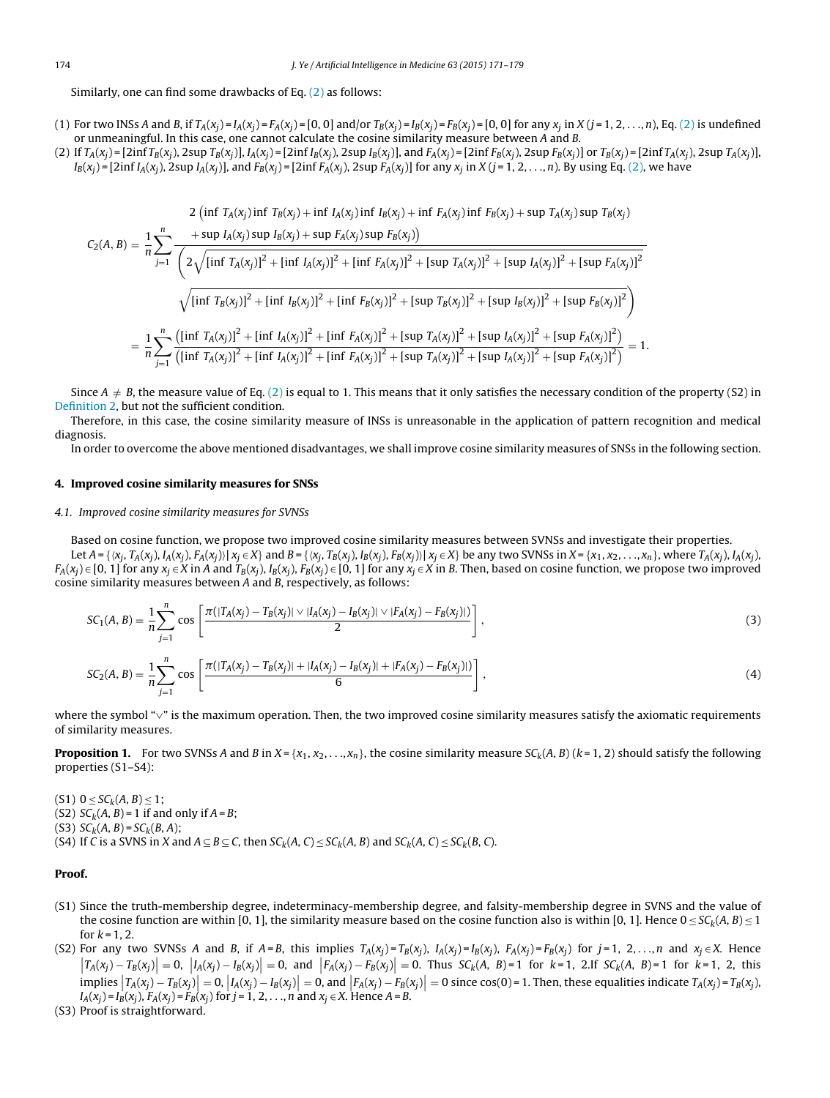<span id="page-3-0"></span>Similarly, one can find some drawbacks of Eq. [\(2\)](#page-2-0) as follows:

- (1) For two INSs A and B, if  $T_A(x_i) = I_A(x_i) = F_A(x_i) = [0, 0]$  and/or  $T_B(x_i) = I_B(x_i) = F_B(x_i) = [0, 0]$  for any  $x_i$  in  $X (i = 1, 2, ..., n)$ , Eq. [\(2\)](#page-2-0) is undefined or unmeaningful. In this case, one cannot calculate the cosine similarity measure between A and B.
- (2) If  $T_A(x_i) = [2\inf T_B(x_i), 2\sup T_B(x_i)]$ ,  $I_A(x_i) = [2\inf I_B(x_i), 2\sup I_B(x_i)]$ , and  $F_A(x_i) = [2\inf F_B(x_i), 2\sup F_B(x_i)]$  or  $T_B(x_i) = [2\inf T_A(x_i), 2\sup T_A(x_i)]$ ,  $I_B(x_i) = \left[2\inf I_A(x_i), 2\sup I_A(x_i)\right]$ , and  $F_B(x_i) = \left[2\inf F_A(x_i), 2\sup F_A(x_i)\right]$  for any  $x_i$  in  $X$  (j = 1, 2, ..., n). By using Eq. [\(2\),](#page-2-0) we have

$$
2 \left( \inf T_A(x_j) \inf T_B(x_j) + \inf I_A(x_j) \inf I_B(x_j) + \inf F_A(x_j) \inf F_B(x_j) + \sup T_A(x_j) \sup T_B(x_j)
$$
  
\n
$$
C_2(A, B) = \frac{1}{n} \sum_{j=1}^n \frac{+ \sup I_A(x_j) \sup I_B(x_j) + \sup F_A(x_j) \sup F_B(x_j))}{\left(2\sqrt{\left[\inf T_A(x_j)\right]^2 + \left[\inf I_A(x_j)\right]^2 + \left[\inf F_A(x_j)\right]^2 + \left[\sup T_A(x_j)\right]^2 + \left[\sup T_A(x_j)\right]^2 + \left[\sup I_A(x_j)\right]^2 + \left[\sup T_A(x_j)\right]^2 + \left[\sup T_A(x_j)\right]^2\right]^2}\right)}
$$
  
\n
$$
\sqrt{\left[\inf T_B(x_j)\right]^2 + \left[\inf I_B(x_j)\right]^2 + \left[\inf F_B(x_j)\right]^2 + \left[\sup T_B(x_j)\right]^2 + \left[\sup T_B(x_j)\right]^2 + \left[\sup I_B(x_j)\right]^2 + \left[\sup T_A(x_j)\right]^2\right]}
$$
  
\n
$$
= \frac{1}{n} \sum_{j=1}^n \frac{\left(\left[\inf T_A(x_j)\right]^2 + \left[\inf I_A(x_j)\right]^2 + \left[\inf F_A(x_j)\right]^2 + \left[\sup T_A(x_j)\right]^2 + \left[\sup T_A(x_j)\right]^2 + \left[\sup T_A(x_j)\right]^2 + \left[\sup T_A(x_j)\right]^2\right]}{\left(\left[\inf T_A(x_j)\right]^2 + \left[\inf I_A(x_j)\right]^2 + \left[\inf F_A(x_j)\right]^2 + \left[\sup T_A(x_j)\right]^2 + \left[\sup T_A(x_j)\right]^2 + \left[\sup T_A(x_j)\right]^2\right]} = 1.
$$

Since  $A \neq B$ , the measure value of Eq. [\(2\)](#page-2-0) is equal to 1. This means that it only satisfies the necessary condition of the property (S2) in [Definition](#page-2-0) [2,](#page-2-0) but not the sufficient condition.

Therefore, in this case, the cosine similarity measure of INSs is unreasonable in the application of pattern recognition and medical diagnosis.

In order to overcome the above mentioned disadvantages, we shall improve cosine similarity measures of SNSs in the following section.

#### **4. Improved cosine similarity measures for SNSs**

#### 4.1. Improved cosine similarity measures for SVNSs

Based on cosine function, we propose two improved cosine similarity measures between SVNSs and investigate their properties.

Let  $A = \{x_i, T_A(x_i), I_A(x_i), F_A(x_i) | x_i \in X\}$  and  $B = \{x_i, T_B(x_i), I_B(x_i), F_B(x_i) | x_i \in X\}$  be any two SVNSs in  $X = \{x_1, x_2, \ldots, x_n\}$ , where  $T_A(x_i), I_A(x_i)$ ,  $F_A(x_j) \in [0, 1]$  for any  $x_j \in X$  in A and  $T_B(x_j)$ ,  $I_B(x_j)$ ,  $F_B(x_j) \in [0, 1]$  for any  $x_j \in X$  in B. Then, based on cosine function, we propose two improved cosine similarity measures between A and B, respectively, as follows:

$$
SC_1(A, B) = \frac{1}{n} \sum_{j=1}^{n} \cos \left[ \frac{\pi(|T_A(x_j) - T_B(x_j)| \vee |I_A(x_j) - I_B(x_j)| \vee |F_A(x_j) - F_B(x_j)|)}{2} \right],
$$
\n(3)

$$
SC_2(A, B) = \frac{1}{n} \sum_{j=1}^{n} \cos \left[ \frac{\pi(|T_A(x_j) - T_B(x_j)| + |I_A(x_j) - I_B(x_j)| + |F_A(x_j) - F_B(x_j)|)}{6} \right],
$$
\n(4)

where the symbol "∨" is the maximum operation. Then, the two improved cosine similarity measures satisfy the axiomatic requirements of similarity measures.

**Proposition 1.** For two SVNSs A and B in  $X = \{x_1, x_2, \ldots, x_n\}$ , the cosine similarity measure  $SC_k(A, B)(k = 1, 2)$  should satisfy the following properties (S1–S4):

 $(S1)$  0 <  $SC_k(A, B)$  < 1;

- (S2)  $SC_k(A, B) = 1$  if and only if  $A = B$ ;
- (S3)  $SC_k(A, B) = SC_k(B, A);$

(S4) If C is a SVNS in X and  $A \subseteq B \subseteq C$ , then  $SC_k(A, C) \leq SC_k(A, B)$  and  $SC_k(A, C) \leq SC_k(B, C)$ .

#### **Proof.**

- (S1) Since the truth-membership degree, indeterminacy-membership degree, and falsity-membership degree in SVNS and the value of the cosine function are within [0, 1], the similarity measure based on the cosine function also is within [0, 1]. Hence  $0 \leq S C_k(A, B) \leq 1$ for  $k = 1, 2$ .
- (S2) For any two SVNSs A and B, if A=B, this implies  $T_A(x_i) = T_B(x_i)$ ,  $I_A(x_i) = I_B(x_i)$ ,  $F_A(x_i) = F_B(x_i)$  for  $j = 1, 2, ..., n$  and  $x_i \in X$ . Hence  $\left|T_A(x_j) - T_B(x_j)\right| = 0$ ,  $\left|I_A(x_j) - I_B(x_j)\right| = 0$ , and  $\left|F_A(x_j) - F_B(x_j)\right| = 0$ . Thus  $SC_k(A, B) = 1$  for  $k = 1$ , 2.If  $SC_k(A, B) = 1$  for  $k = 1$ , 2, this implies  $\left| T_A(x_j) - T_B(x_j) \right| = 0$ ,  $\left| I_A(x_j) - I_B(x_j) \right| = 0$ , and  $\left| F_A(x_j) - F_B(x_j) \right| = 0$  since cos(0) = 1. Then, these equalities indicate  $T_A(x_j) = T_B(x_j)$ ,  $I_A(x_i) = I_B(x_i)$ ,  $F_A(x_i) = F_B(x_i)$  for  $j = 1, 2, ..., n$  and  $x_i \in X$ . Hence  $A = B$ .
- (S3) Proof is straightforward.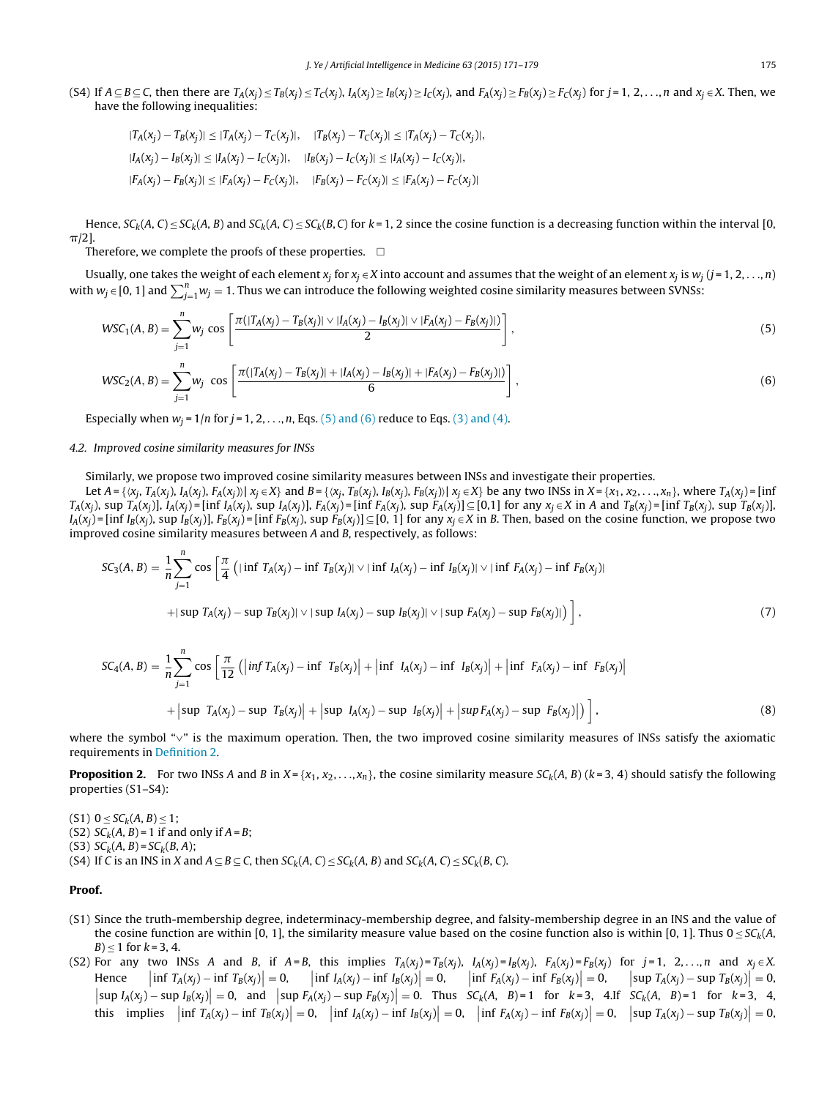<span id="page-4-0"></span>(S4) If  $A \subseteq B \subseteq C$ , then there are  $T_A(x_j) \le T_B(x_j) \le T_C(x_j)$ ,  $I_A(x_j) \ge I_B(x_j) \ge I_C(x_j)$ , and  $F_A(x_j) \ge F_B(x_j) \ge F_C(x_j)$  for  $j = 1, 2, ..., n$  and  $x_j \in X$ . Then, we have the following inequalities:

$$
|T_A(x_j) - T_B(x_j)| \le |T_A(x_j) - T_C(x_j)|, \quad |T_B(x_j) - T_C(x_j)| \le |T_A(x_j) - T_C(x_j)|,
$$
  
\n
$$
|I_A(x_j) - I_B(x_j)| \le |I_A(x_j) - I_C(x_j)|, \quad |I_B(x_j) - I_C(x_j)| \le |I_A(x_j) - I_C(x_j)|,
$$
  
\n
$$
|F_A(x_j) - F_B(x_j)| \le |F_A(x_j) - F_C(x_j)|, \quad |F_B(x_j) - F_C(x_j)| \le |F_A(x_j) - F_C(x_j)|
$$

Hence,  $SC_k(A, C) \leq SC_k(A, B)$  and  $SC_k(A, C) \leq SC_k(B, C)$  for  $k = 1, 2$  since the cosine function is a decreasing function within the interval [0,  $\pi/2$ ].

Therefore, we complete the proofs of these properties.  $\;\;\Box$ 

Usually, one takes the weight of each element  $x_i$  for  $x_i \in X$  into account and assumes that the weight of an element  $x_i$  is  $w_i$  ( $j = 1, 2, \ldots, n$ ) with  $w_j \in [0, 1]$  and  $\sum_{j=1}^n w_j = 1$ . Thus we can introduce the following weighted cosine similarity measures between SVNSs:

$$
WSC_{1}(A, B) = \sum_{j=1}^{n} w_{j} \cos \left[ \frac{\pi(|T_{A}(x_{j}) - T_{B}(x_{j})| \vee |I_{A}(x_{j}) - I_{B}(x_{j})| \vee |F_{A}(x_{j}) - F_{B}(x_{j})|)}{2} \right],
$$
\n
$$
WSC_{2}(A, B) = \sum_{j=1}^{n} w_{j} \cos \left[ \frac{\pi(|T_{A}(x_{j}) - T_{B}(x_{j})| + |I_{A}(x_{j}) - I_{B}(x_{j})| + |F_{A}(x_{j}) - F_{B}(x_{j})|)}{6} \right],
$$
\n(6)

Especially when  $w_i = 1/n$  for  $j = 1, 2, \ldots, n$ , Eqs. (5) and (6) reduce to Eqs. [\(3\)](#page-3-0) [and](#page-3-0) [\(4\).](#page-3-0)

#### 4.2. Improved cosine similarity measures for INSs

Similarly, we propose two improved cosine similarity measures between INSs and investigate their properties.

Let  $A = \{ \langle x_i, T_A(x_i), I_A(x_i), F_A(x_i) \rangle | x_i \in X \}$  and  $B = \{ \langle x_i, T_B(x_i), I_B(x_i) \rangle | x_i \in X \}$  be any two INSs in  $X = \{x_1, x_2, \ldots, x_n\}$ , where  $T_A(x_i) = \{ \text{inf } X_i \in X \}$  $T_A(x_i)$ , sup  $T_A(x_i)$ ],  $I_A(x_j)$  = [inf  $I_A(x_i)$ , sup  $I_A(x_i)$ ],  $F_A(x_j)$  = [inf  $F_A(x_i)$ , sup  $F_A(x_i)$ ]  $\subseteq$  [0,1] for any  $x_i \in X$  in A and  $T_B(x_i)$  = [inf  $T_B(x_i)$ , sup  $T_B(x_i)$ ],  $I_A(x_i)$  = [inf  $I_B(x_i)$ , sup  $I_B(x_i)$ ],  $F_B(x_i)$  = [inf  $F_B(x_i)$ , sup  $F_B(x_i)$ ]  $\subseteq$  [0, 1] for any  $x_i \in X$  in B. Then, based on the cosine function, we propose two improved cosine similarity measures between A and B, respectively, as follows:

$$
SC_{3}(A, B) = \frac{1}{n} \sum_{j=1}^{n} \cos \left[ \frac{\pi}{4} \left( |\inf T_{A}(x_{j}) - \inf T_{B}(x_{j})| \vee |\inf I_{A}(x_{j}) - \inf I_{B}(x_{j})| \vee |\inf T_{A}(x_{j}) - \inf T_{B}(x_{j})| \right) \right]
$$
  
+|sup  $T_{A}(x_{j}) - \sup T_{B}(x_{j})| \vee |\sup I_{A}(x_{j}) - \sup I_{B}(x_{j})| \vee |\sup F_{A}(x_{j}) - \sup F_{B}(x_{j})| \right)$ , (7)

$$
SC_{4}(A, B) = \frac{1}{n} \sum_{j=1}^{n} \cos \left[ \frac{\pi}{12} ( \left| \inf T_{A}(x_{j}) - \inf T_{B}(x_{j}) \right| + \left| \inf I_{A}(x_{j}) - \inf I_{B}(x_{j}) \right| + \left| \inf F_{A}(x_{j}) - \inf F_{B}(x_{j}) \right| \right] + \left| \sup T_{A}(x_{j}) - \sup T_{B}(x_{j}) \right| + \left| \sup I_{A}(x_{j}) - \sup I_{B}(x_{j}) \right| + \left| \sup F_{A}(x_{j}) - \sup F_{B}(x_{j}) \right| \right), \tag{8}
$$

where the symbol "∨" is the maximum operation. Then, the two improved cosine similarity measures of INSs satisfy the axiomatic requirements in [Definition](#page-2-0) [2.](#page-2-0)

**Proposition 2.** For two INSs A and B in  $X = \{x_1, x_2, ..., x_n\}$ , the cosine similarity measure  $SC_k(A, B)$  ( $k = 3, 4$ ) should satisfy the following properties (S1–S4):

(S1)  $0 \leq SC_k(A, B) \leq 1$ ;

(S2)  $SC_k(A, B) = 1$  if and only if  $A = B$ ;

(S3)  $SC_{k}(A, B) = SC_{k}(B, A);$ 

(S4) If C is an INS in X and  $A \subseteq B \subseteq C$ , then  $SC_k(A, C) \leq SC_k(A, B)$  and  $SC_k(A, C) \leq SC_k(B, C)$ .

#### **Proof.**

- (S1) Since the truth-membership degree, indeterminacy-membership degree, and falsity-membership degree in an INS and the value of the cosine function are within [0, 1], the similarity measure value based on the cosine function also is within [0, 1]. Thus  $0 \leq S C_k(A,$  $B \le 1$  for  $k = 3, 4$ .
- (S2) For any two INSs A and B, if A = B, this implies  $T_A(x_i) = T_B(x_i)$ ,  $I_A(x_i) = I_B(x_i)$ ,  $F_A(x_i) = F_B(x_i)$  for j = 1, 2, ..., n and  $x_i \in X$ . Hence  $\left| \inf T_A(x_j) - \inf T_B(x_j) \right| = 0, \qquad \left| \inf I_A(x_j) - \inf I_B(x_j) \right| = 0,$  $\left| \inf F_A(x_j) - \inf F_B(x_j) \right| = 0, \quad \left| \sup T_A(x_j) - \sup F_B(x_j) \right| = 0,$  $\left|\sup_{A}(x_j) - \sup_{B}(x_j)\right| = 0$ , and  $\left|\sup_{A}(x_j) - \sup_{B}(x_j)\right| = 0$ . Thus  $SC_k(A, B) = 1$  for  $k = 3$ , 4.If  $SC_k(A, B) = 1$  for  $k = 3, 4, 5$ this implies  $\left| \inf T_A(x_j) - \inf T_B(x_j) \right| = 0$ ,  $\left| \inf I_A(x_j) - \inf I_B(x_j) \right| = 0$ ,  $\left| \inf F_A(x_j) - \inf F_B(x_j) \right| = 0$ ,  $\left| \sup T_A(x_j) - \sup T_B(x_j) \right| = 0$ ,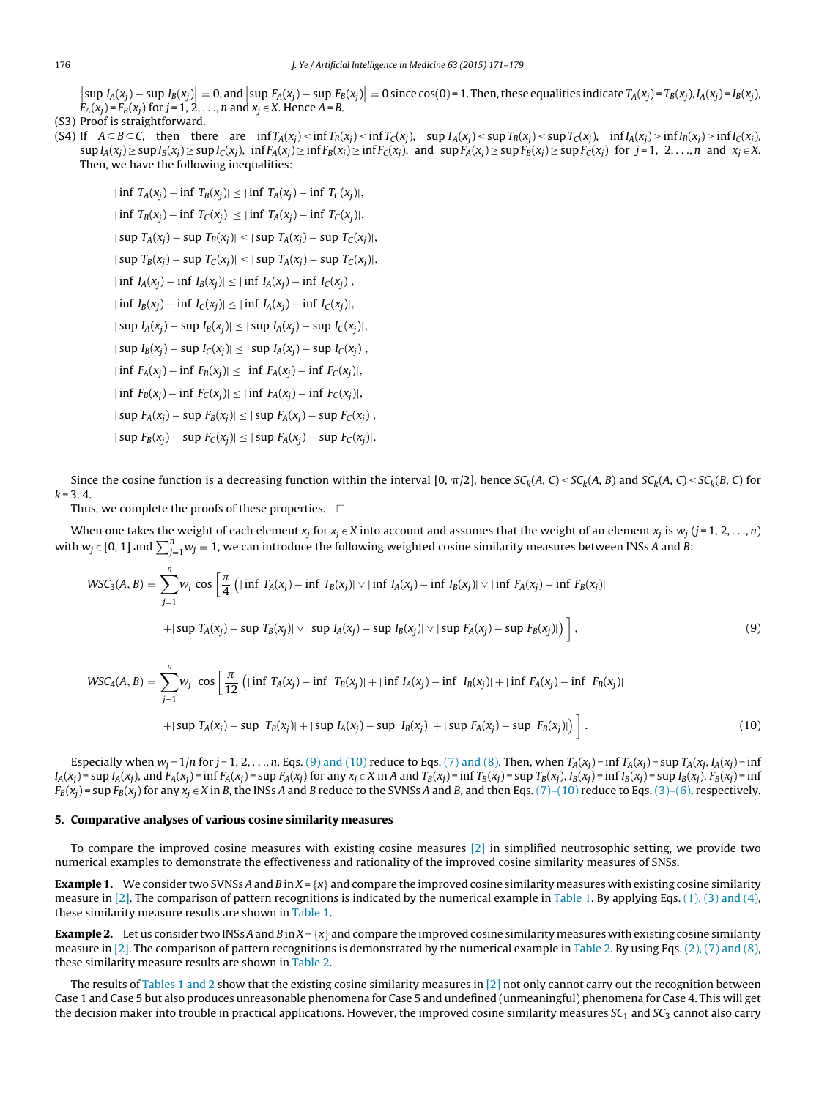<span id="page-5-0"></span> $\left|\sup_{A}(x_j) - \sup_{B}(x_j)\right| = 0$ , and  $\left|\sup_{x_j \in X} F_A(x_j) - \sup_{B}(x_j)\right| = 0$  since cos(0) = 1. Then, these equalities indicate  $T_A(x_j) = T_B(x_j)$ ,  $I_A(x_j) = I_B(x_j)$ ,  $F_A(x_i) = F_B(x_i)$  for  $j = 1, 2, \ldots, n$  and  $x_i \in X$ . Hence  $A = B$ .

#### (S3) Proof is straightforward.

(S4) If  $A \subseteq B \subseteq C$ , then there are  $\inf T_A(x_i) \leq \inf T_B(x_i) \leq \inf T_C(x_i)$ ,  $\sup T_A(x_i) \leq \sup T_B(x_i) \leq \sup T_B(x_i)$ ,  $\inf T_A(x_i) \geq \inf T_C(x_i)$ ,  $\sup I_A(x_i) \geq \sup I_B(x_i) \geq \sup I_C(x_i)$ ,  $\inf F_A(x_i) \geq \inf F_B(x_i) \geq \inf F_C(x_i)$ , and  $\sup F_A(x_i) \geq \sup F_B(x_i) \geq \sup F_C(x_i)$  for  $j = 1, 2, ..., n$  and  $x_j \in X$ . Then, we have the following inequalities:

 $|\inf T_A(x_i) - \inf T_B(x_i)| \leq |\inf T_A(x_i) - \inf T_C(x_i)|,$  $|\inf T_B(x_i) - \inf T_C(x_i)| \leq |\inf T_A(x_i) - \inf T_C(x_i)|,$  $|\sup T_A(x_i) - \sup T_B(x_i)| \leq |\sup T_A(x_i) - \sup T_C(x_i)|,$  $|\sup T_B(x_i) - \sup T_C(x_i)| \leq |\sup T_A(x_i) - \sup T_C(x_i)|,$  $|\inf I_A(x_i) - \inf I_B(x_i)| \leq |\inf I_A(x_i) - \inf I_C(x_i)|,$  $|\inf I_B(x_i) - \inf I_C(x_i)| \leq |\inf I_A(x_i) - \inf I_C(x_i)|,$  $|\sup I_A(x_i) - \sup I_B(x_i)| \leq |\sup I_A(x_i) - \sup I_C(x_i)|,$  $|\sup I_B(x_i) - \sup I_C(x_i)| \leq |\sup I_A(x_i) - \sup I_C(x_i)|,$  $|\inf F_A(x_i) - \inf F_B(x_i)| \leq |\inf F_A(x_i) - \inf F_C(x_i)|,$  $|\inf F_B(x_i) - \inf F_C(x_i)| \leq |\inf F_A(x_i) - \inf F_C(x_i)|,$  $|\sup F_A(x_i) - \sup F_B(x_i)| \leq |\sup F_A(x_i) - \sup F_C(x_i)|,$  $|\sup F_B(x_i) - \sup F_C(x_i)| \leq |\sup F_A(x_i) - \sup F_C(x_i)|.$ 

Since the cosine function is a decreasing function within the interval [0,  $\pi/2$ ], hence  $SC_k(A, C) \leq SC_k(A, B)$  and  $SC_k(A, C) \leq SC_k(B, C)$  for  $k = 3, 4$ .

Thus, we complete the proofs of these properties.  $\;\;\Box$ 

When one takes the weight of each element  $x_i$  for  $x_i \in X$  into account and assumes that the weight of an element  $x_i$  is  $w_i$  (j = 1, 2, . . ., n) with  $w_j \in [0, 1]$  and  $\sum_{j=1}^n w_j = 1$ , we can introduce the following weighted cosine similarity measures between INSs A and B:

$$
WSC_3(A, B) = \sum_{j=1}^{n} w_j \cos \left[ \frac{\pi}{4} \left( |\inf T_A(x_j) - \inf T_B(x_j)| \vee |\inf I_A(x_j) - \inf I_B(x_j)| \vee |\inf F_A(x_j) - \inf F_B(x_j)| \right) \right]
$$
  
+|sup T<sub>A</sub>(x<sub>j</sub>) - sup T<sub>B</sub>(x<sub>j</sub>)|  $\vee$  |sup I<sub>A</sub>(x<sub>j</sub>) - sup I<sub>B</sub>(x<sub>j</sub>)|  $\vee$  |sup F<sub>A</sub>(x<sub>j</sub>) - sup F<sub>B</sub>(x<sub>j</sub>)|  $\Big]$ , (9)

$$
WSC_4(A, B) = \sum_{j=1}^{n} w_j \cos \left[ \frac{\pi}{12} \left( |\inf T_A(x_j) - \inf T_B(x_j)| + |\inf I_A(x_j) - \inf I_B(x_j)| + |\inf T_A(x_j) - \inf F_B(x_j)| \right) \right]
$$
  
+|\sup T\_A(x\_j) - \sup T\_B(x\_j)| + |\sup I\_A(x\_j) - \sup I\_B(x\_j)| + |\sup F\_A(x\_j) - \sup F\_B(x\_j)| \right]. (10)

Especially when  $w_i = 1/n$  for  $j = 1, 2, ..., n$ , Eqs. (9) and (10) reduce to Eqs. [\(7\)](#page-4-0) [and](#page-4-0) [\(8\).](#page-4-0) Then, when  $T_A(x_i) = \inf T_A(x_i) = \sup T_A(x_i, I_A(x_i) = \inf T_A(x_i)$  $I_A(x_i) = \sup I_A(x_i)$ , and  $F_A(x_i) = \inf F_A(x_i) = \sup F_A(x_i)$  for any  $x_i \in X$  in A and  $T_B(x_i) = \inf T_B(x_i)$ ,  $I_B(x_i) = \inf T_B(x_i)$ ,  $I_B(x_i) = \sup I_B(x_i)$ ,  $F_B(x_i) = \inf T_B(x_i)$  $F_B(x_i)$  = sup  $F_B(x_i)$  for any  $x_i \in X$  in B, the INSs A and B reduce to the SVNSs A and B, and then Eqs. [\(7\)–\(10\)](#page-4-0) reduce to Eqs. [\(3\)–\(6\),](#page-3-0) respectively.

#### **5. Comparative analyses of various cosine similarity measures**

To compare the improved cosine measures with existing cosine measures [\[2\]](#page-8-0) in simplified neutrosophic setting, we provide two numerical examples to demonstrate the effectiveness and rationality of the improved cosine similarity measures of SNSs.

**Example 1.** We consider two SVNSs A and B in  $X = \{x\}$  and compare the improved cosine similarity measures with existing cosine similarity measure in [\[2\].](#page-8-0) The comparison of pattern recognitions is indicated by the numerical example in [Table](#page-6-0) 1. By applying Eqs. [\(1\),](#page-2-0) [\(3\)](#page-2-0) [and](#page-2-0) [\(4\),](#page-2-0) these similarity measure results are shown in [Table](#page-6-0) 1.

**Example 2.** Let us consider two INSs A and B in  $X = \{x\}$  and compare the improved cosine similarity measures with existing cosine similarity measure in [\[2\].](#page-8-0) The comparison of pattern recognitions is demonstrated by the numerical example in [Table](#page-6-0) 2. By using Eqs. [\(2\),](#page-2-0) [\(7\)](#page-2-0) [and](#page-2-0) [\(8\),](#page-2-0) these similarity measure results are shown in [Table](#page-6-0) 2.

The results of [Tables](#page-6-0) 1 and 2 show that the existing cosine similarity measures in  $[2]$  not only cannot carry out the recognition between Case 1 and Case 5 but also produces unreasonable phenomena for Case 5 and undefined (unmeaningful) phenomena for Case 4. This will get the decision maker into trouble in practical applications. However, the improved cosine similarity measures  $SC_1$  and  $SC_3$  cannot also carry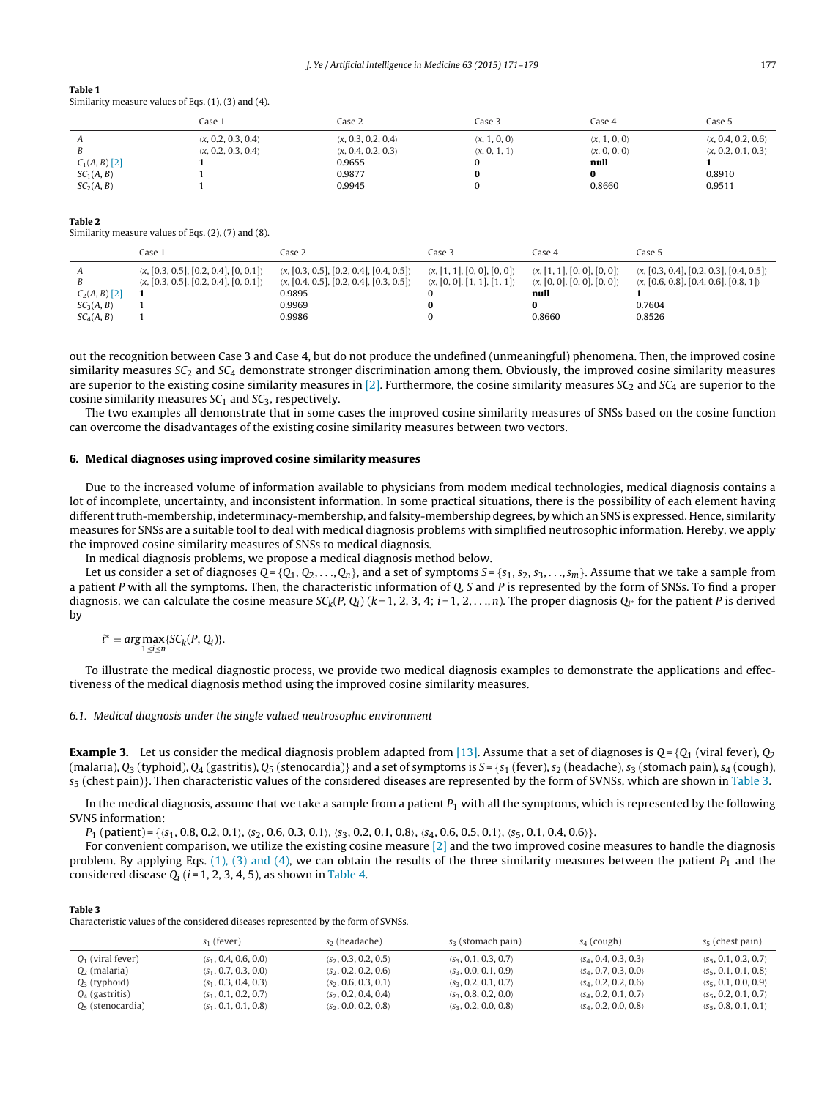<span id="page-6-0"></span>

| Table 1                                                     |  |
|-------------------------------------------------------------|--|
| Similarity measure values of Eqs. $(1)$ , $(3)$ and $(4)$ . |  |

|                        | Case :                             | Case 2                             | Case 3                       | Case 4                       | Case 5                             |
|------------------------|------------------------------------|------------------------------------|------------------------------|------------------------------|------------------------------------|
|                        | $\langle x, 0.2, 0.3, 0.4 \rangle$ | $\langle x, 0.3, 0.2, 0.4 \rangle$ | $\langle x, 1, 0, 0 \rangle$ | $\langle x, 1, 0, 0 \rangle$ | $\langle x, 0.4, 0.2, 0.6 \rangle$ |
|                        | $\langle x, 0.2, 0.3, 0.4 \rangle$ | $\langle x, 0.4, 0.2, 0.3 \rangle$ | $\langle x, 0, 1, 1 \rangle$ | $\langle x, 0, 0, 0 \rangle$ | $\langle x, 0.2, 0.1, 0.3 \rangle$ |
| $C_1(A, B)$ [2]        |                                    | 0.9655                             |                              | null                         |                                    |
| SC <sub>1</sub> (A, B) |                                    | 0.9877                             |                              |                              | 0.8910                             |
| SC <sub>2</sub> (A, B) |                                    | 0.9945                             |                              | 0.8660                       | 0.9511                             |

#### **Table 2**

Similarity measure values of Eqs. (2), (7) and (8).

|                                                                     | Case 1                                                                                                         | Case 2                                                                                                                                           | Case 3                                                                                          | Case 4                                                                                                       | Case 5                                                                                                                               |
|---------------------------------------------------------------------|----------------------------------------------------------------------------------------------------------------|--------------------------------------------------------------------------------------------------------------------------------------------------|-------------------------------------------------------------------------------------------------|--------------------------------------------------------------------------------------------------------------|--------------------------------------------------------------------------------------------------------------------------------------|
| $C_2(A, B)$ [2]<br>SC <sub>3</sub> (A, B)<br>SC <sub>4</sub> (A, B) | $\langle x, [0.3, 0.5], [0.2, 0.4], [0, 0.1] \rangle$<br>$\langle x, [0.3, 0.5], [0.2, 0.4], [0, 0.1] \rangle$ | $\langle x, [0.3, 0.5], [0.2, 0.4], [0.4, 0.5] \rangle$<br>$\langle x, [0.4, 0.5], [0.2, 0.4], [0.3, 0.5] \rangle$<br>0.9895<br>0.9969<br>0.9986 | $\langle x, [1, 1], [0, 0], [0, 0] \rangle$<br>$\langle x, [0, 0], [1, 1], [1, 1] \rangle$<br>0 | $\langle x, [1, 1], [0, 0], [0, 0] \rangle$<br>$\langle x, [0, 0], [0, 0], [0, 0] \rangle$<br>null<br>0.8660 | $\langle x, [0.3, 0.4], [0.2, 0.3], [0.4, 0.5] \rangle$<br>$\langle x, [0.6, 0.8], [0.4, 0.6], [0.8, 1] \rangle$<br>0.7604<br>0.8526 |

out the recognition between Case 3 and Case 4, but do not produce the undefined (unmeaningful) phenomena. Then, the improved cosine similarity measures  $SC_2$  and  $SC_4$  demonstrate stronger discrimination among them. Obviously, the improved cosine similarity measures are superior to the existing cosine similarity measures in [\[2\].](#page-8-0) Furthermore, the cosine similarity measures  $SC_2$  and  $SC_4$  are superior to the cosine similarity measures  $SC<sub>1</sub>$  and  $SC<sub>3</sub>$ , respectively.

The two examples all demonstrate that in some cases the improved cosine similarity measures of SNSs based on the cosine function can overcome the disadvantages of the existing cosine similarity measures between two vectors.

#### **6. Medical diagnoses using improved cosine similarity measures**

Due to the increased volume of information available to physicians from modem medical technologies, medical diagnosis contains a lot of incomplete, uncertainty, and inconsistent information. In some practical situations, there is the possibility of each element having different truth-membership, indeterminacy-membership, and falsity-membership degrees, by which an SNS is expressed. Hence, similarity measures for SNSs are a suitable tool to deal with medical diagnosis problems with simplified neutrosophic information. Hereby, we apply the improved cosine similarity measures of SNSs to medical diagnosis.

In medical diagnosis problems, we propose a medical diagnosis method below.

Let us consider a set of diagnoses  $Q = \{Q_1, Q_2, \ldots, Q_n\}$ , and a set of symptoms  $S = \{s_1, s_2, s_3, \ldots, s_m\}$ . Assume that we take a sample from a patient P with all the symptoms. Then, the characteristic information of Q, S and P is represented by the form of SNSs. To find a proper diagnosis, we can calculate the cosine measure  $SC_k(P, Q_i)$  (k=1, 2, 3, 4; i=1, 2, ..., n). The proper diagnosis  $Q_i$  for the patient P is derived by

 $i^* = \arg \max_{1 \le i \le n} \{ SC_k(P, Q_i) \}.$  $1 \le i \le n$ 

To illustrate the medical diagnostic process, we provide two medical diagnosis examples to demonstrate the applications and effectiveness of the medical diagnosis method using the improved cosine similarity measures.

#### 6.1. Medical diagnosis under the single valued neutrosophic environment

**Example 3.** Let us consider the medical diagnosis problem adapted from [\[13\].](#page-8-0) Assume that a set of diagnoses is  $Q = \{Q_1 \}$  (viral fever),  $Q_2$ (malaria),  $Q_3$  (typhoid),  $Q_4$  (gastritis),  $Q_5$  (stenocardia)} and a set of symptoms is  $S = \{s_1$  (fever),  $s_2$  (headache),  $s_3$  (stomach pain),  $s_4$  (cough),  $s_5$  (chest pain)}. Then characteristic values of the considered diseases are represented by the form of SVNSs, which are shown in Table 3.

In the medical diagnosis, assume that we take a sample from a patient  $P_1$  with all the symptoms, which is represented by the following SVNS information:

 $P_1$  (patient) = { $\{s_1, 0.8, 0.2, 0.1\}$ ,  $\{s_2, 0.6, 0.3, 0.1\}$ ,  $\{s_3, 0.2, 0.1, 0.8\}$ ,  $\{s_4, 0.6, 0.5, 0.1\}$ ,  $\{s_5, 0.1, 0.4, 0.6\}$ .

For convenient comparison, we utilize the existing cosine measure  $[2]$  and the two improved cosine measures to handle the diagnosis problem. By applying Eqs. [\(1\),](#page-2-0) [\(3\)](#page-2-0) [and](#page-2-0) [\(4\),](#page-2-0) we can obtain the results of the three similarity measures between the patient  $P_1$  and the considered disease  $Q_i$  ( $i = 1, 2, 3, 4, 5$ ), as shown in [Table](#page-7-0) 4.

**Table 3** Characteristic values of the considered diseases represented by the form of SVNSs.

|                     | $s_1$ (fever)                        | s <sub>2</sub> (headache)            | $s_3$ (stomach pain)                 | $s_4$ (cough)                        | $s5$ (chest pain)                    |
|---------------------|--------------------------------------|--------------------------------------|--------------------------------------|--------------------------------------|--------------------------------------|
| $Q_1$ (viral fever) | $\langle S_1, 0.4, 0.6, 0.0 \rangle$ | $\langle s_2, 0.3, 0.2, 0.5 \rangle$ | $\langle s_3, 0.1, 0.3, 0.7 \rangle$ | $\langle S_4, 0.4, 0.3, 0.3 \rangle$ | $\langle s_5, 0.1, 0.2, 0.7 \rangle$ |
| $Q_2$ (malaria)     | $\langle S_1, 0.7, 0.3, 0.0 \rangle$ | $\langle S_2, 0.2, 0.2, 0.6 \rangle$ | $\langle s_3, 0.0, 0.1, 0.9 \rangle$ | $\langle S_4, 0.7, 0.3, 0.0 \rangle$ | $\langle S_5, 0.1, 0.1, 0.8 \rangle$ |
| $Q_3$ (typhoid)     | $\langle S_1, 0.3, 0.4, 0.3 \rangle$ | $\langle s_2, 0.6, 0.3, 0.1 \rangle$ | $\langle S_3, 0.2, 0.1, 0.7 \rangle$ | $\langle S_4, 0.2, 0.2, 0.6 \rangle$ | $\langle s_5, 0.1, 0.0, 0.9 \rangle$ |
| $Q_4$ (gastritis)   | $\langle S_1, 0.1, 0.2, 0.7 \rangle$ | $\langle S_2, 0.2, 0.4, 0.4 \rangle$ | $\langle S_3, 0.8, 0.2, 0.0 \rangle$ | $\langle S_4, 0.2, 0.1, 0.7 \rangle$ | $\langle S_5, 0.2, 0.1, 0.7 \rangle$ |
| $Q_5$ (stenocardia) | $\langle S_1, 0.1, 0.1, 0.8 \rangle$ | $\langle S_2, 0.0, 0.2, 0.8 \rangle$ | $\langle S_3, 0.2, 0.0, 0.8 \rangle$ | $\langle S_4, 0.2, 0.0, 0.8 \rangle$ | $\langle s_5, 0.8, 0.1, 0.1 \rangle$ |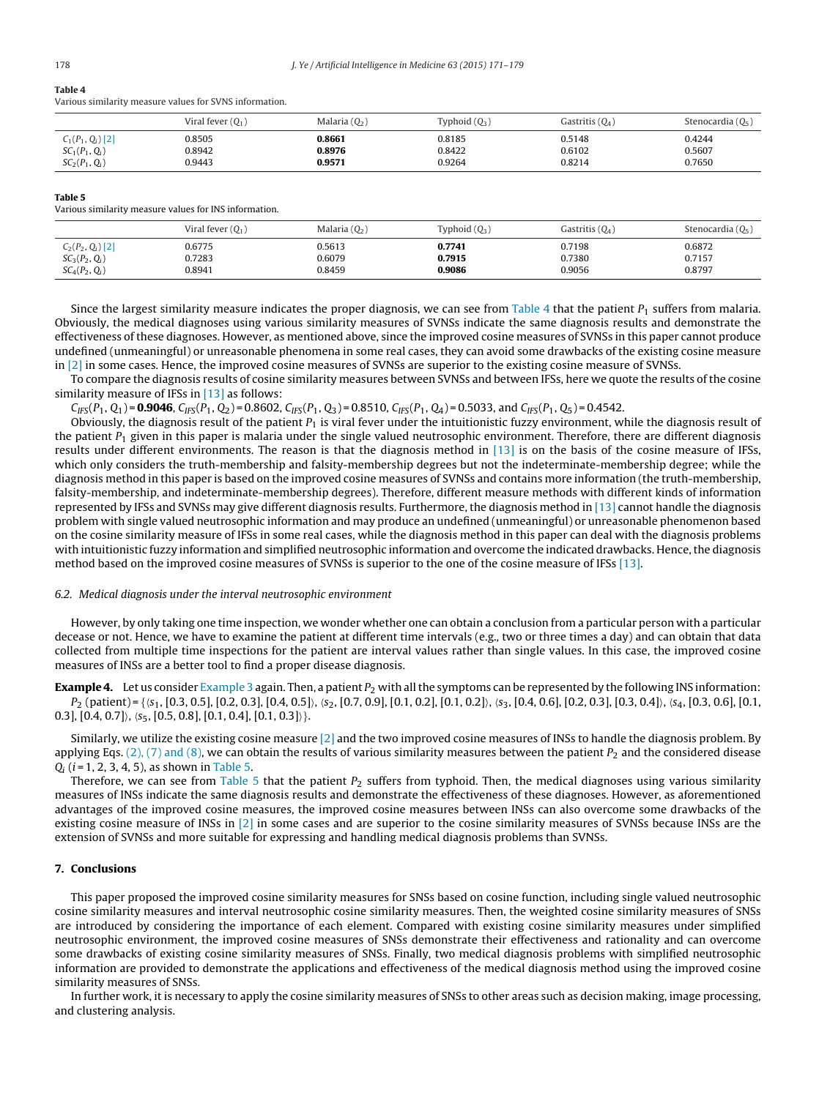#### <span id="page-7-0"></span>**Table 4**

Various similarity measure values for SVNS information.

|                     | Viral fever $(Q_1)$ | Malaria $(Q_2)$ | Typhoid $(Q_3)$ | Gastritis $(Q_4)$ | Stenocardia $(Q_5)$ |
|---------------------|---------------------|-----------------|-----------------|-------------------|---------------------|
| $C_1(P_1, Q_i)$ [2] | 0.8505              | 0.8661          | 0.8185          | 0.5148            | 0.4244              |
| $SC_1(P_1, Q_i)$    | 0.8942              | 0.8976          | 0.8422          | 0.6102            | 0.5607              |
| $SC_2(P_1, Q_i)$    | 0.9443              | 0.9571          | 0.9264          | 0.8214            | 0.7650              |

#### **Table 5**

Various similarity measure values for INS information.

|                        | Viral fever $(Q_1)$ | Malaria $(Q_2)$ | Typhoid $(Q_3)$ | Gastritis $(Q_4)$ | Stenocardia $(Q_5)$ |
|------------------------|---------------------|-----------------|-----------------|-------------------|---------------------|
| $C_2(P_2, Q_i)$ [2]    | 0.6775              | 0.5613          | 0.7741          | 0.7198            | 0.6872              |
| $SC_3(P_2, Q_i)$       | 0.7283              | 0.6079          | 0.7915          | 0.7380            | 0.7157              |
| $SC_{4}(P_{2}, Q_{i})$ | 0.8941              | 0.8459          | 0.9086          | 0.9056            | 0.8797              |

Since the largest similarity measure indicates the proper diagnosis, we can see from Table 4 that the patient  $P_1$  suffers from malaria. Obviously, the medical diagnoses using various similarity measures of SVNSs indicate the same diagnosis results and demonstrate the effectiveness of these diagnoses. However, as mentioned above, since the improved cosine measures of SVNSs in this paper cannot produce undefined (unmeaningful) or unreasonable phenomena in some real cases, they can avoid some drawbacks of the existing cosine measure in [\[2\]](#page-8-0) in some cases. Hence, the improved cosine measures of SVNSs are superior to the existing cosine measure of SVNSs.

To compare the diagnosis results of cosine similarity measures between SVNSs and between IFSs, here we quote the results of the cosine similarity measure of IFSs in  $[13]$  as follows:

 $C_{IFS}(P_1, Q_1) = 0.9046$ ,  $C_{IFS}(P_1, Q_2) = 0.8602$ ,  $C_{IFS}(P_1, Q_3) = 0.8510$ ,  $C_{IFS}(P_1, Q_4) = 0.5033$ , and  $C_{IFS}(P_1, Q_5) = 0.4542$ .

Obviously, the diagnosis result of the patient  $P_1$  is viral fever under the intuitionistic fuzzy environment, while the diagnosis result of the patient  $P_1$  given in this paper is malaria under the single valued neutrosophic environment. Therefore, there are different diagnosis results under different environments. The reason is that the diagnosis method in [\[13\]](#page-8-0) is on the basis of the cosine measure of IFSs, which only considers the truth-membership and falsity-membership degrees but not the indeterminate-membership degree; while the diagnosis method in this paper is based on the improved cosine measures of SVNSs and contains more information (the truth-membership, falsity-membership, and indeterminate-membership degrees). Therefore, different measure methods with different kinds of information represented by IFSs and SVNSs may give different diagnosis results. Furthermore, the diagnosis method in [\[13\]](#page-8-0) cannot handle the diagnosis problem with single valued neutrosophic information and may produce an undefined (unmeaningful) or unreasonable phenomenon based on the cosine similarity measure of IFSs in some real cases, while the diagnosis method in this paper can deal with the diagnosis problems with intuitionistic fuzzy information and simplified neutrosophic information and overcome the indicated drawbacks. Hence, the diagnosis method based on the improved cosine measures of SVNSs is superior to the one of the cosine measure of IFSs [\[13\].](#page-8-0)

#### 6.2. Medical diagnosis under the interval neutrosophic environment

However, by only taking one time inspection, we wonder whether one can obtain a conclusion from a particular person with a particular decease or not. Hence, we have to examine the patient at different time intervals (e.g., two or three times a day) and can obtain that data collected from multiple time inspections for the patient are interval values rather than single values. In this case, the improved cosine measures of INSs are a better tool to find a proper disease diagnosis.

**[Example](#page-6-0) 4.** Let us consider Example [3](#page-6-0) again. Then, a patient  $P_2$  with all the symptoms can be represented by the following INS information:  $P_2$  (patient) = { $\{s_1, [0.3, 0.5], [0.2, 0.3], [0.4, 0.5] \}$ ,  $\{s_2, [0.7, 0.9], [0.1, 0.2], [0.1, 0.2] \}$ ,  $\{s_3, [0.4, 0.6], [0.2, 0.3], [0.3, 0.4] \}$ ,  $\{s_4, [0.3, 0.6], [0.1, 0.2], [0.4, 0.5], [0.4, 0.6], [0.3, 0.4] \}$ 0.3],  $[0.4, 0.7]$ ,  $\langle s_5, [0.5, 0.8], [0.1, 0.4], [0.1, 0.3] \rangle$ .

Similarly, we utilize the existing cosine measure  $[2]$  and the two improved cosine measures of INSs to handle the diagnosis problem. By applying Eqs. [\(2\),](#page-2-0) [\(7\)](#page-2-0) [and](#page-2-0) [\(8\),](#page-2-0) we can obtain the results of various similarity measures between the patient  $P_2$  and the considered disease  $Q_i$  (*i* = 1, 2, 3, 4, 5), as shown in Table 5.

Therefore, we can see from Table 5 that the patient  $P_2$  suffers from typhoid. Then, the medical diagnoses using various similarity measures of INSs indicate the same diagnosis results and demonstrate the effectiveness of these diagnoses. However, as aforementioned advantages of the improved cosine measures, the improved cosine measures between INSs can also overcome some drawbacks of the existing cosine measure of INSs in [\[2\]](#page-8-0) in some cases and are superior to the cosine similarity measures of SVNSs because INSs are the extension of SVNSs and more suitable for expressing and handling medical diagnosis problems than SVNSs.

#### **7. Conclusions**

This paper proposed the improved cosine similarity measures for SNSs based on cosine function, including single valued neutrosophic cosine similarity measures and interval neutrosophic cosine similarity measures. Then, the weighted cosine similarity measures of SNSs are introduced by considering the importance of each element. Compared with existing cosine similarity measures under simplified neutrosophic environment, the improved cosine measures of SNSs demonstrate their effectiveness and rationality and can overcome some drawbacks of existing cosine similarity measures of SNSs. Finally, two medical diagnosis problems with simplified neutrosophic information are provided to demonstrate the applications and effectiveness of the medical diagnosis method using the improved cosine similarity measures of SNSs.

In further work, it is necessary to apply the cosine similarity measures of SNSs to other areas such as decision making, image processing, and clustering analysis.